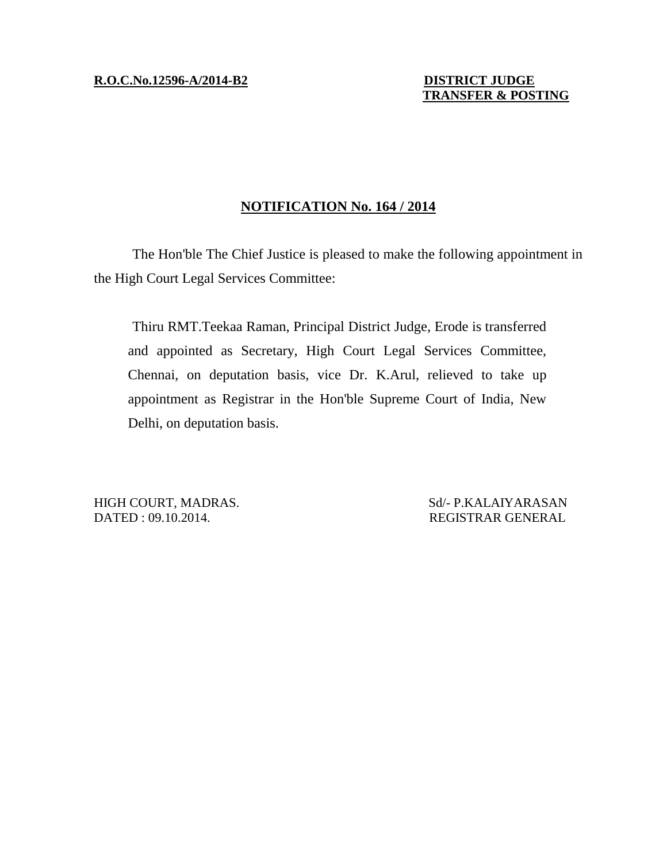## **TRANSFER & POSTING**

## **NOTIFICATION No. 164 / 2014**

The Hon'ble The Chief Justice is pleased to make the following appointment in the High Court Legal Services Committee:

Thiru RMT.Teekaa Raman, Principal District Judge, Erode is transferred and appointed as Secretary, High Court Legal Services Committee, Chennai, on deputation basis, vice Dr. K.Arul, relieved to take up appointment as Registrar in the Hon'ble Supreme Court of India, New Delhi, on deputation basis.

HIGH COURT, MADRAS. Sd/- P.KALAIYARASAN DATED : 09.10.2014. REGISTRAR GENERAL